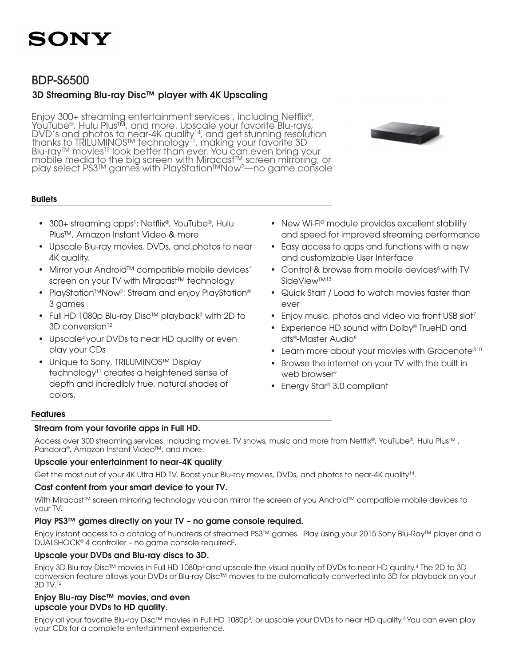

### BDP-S6500

### 3D Streaming Blu-ray Disc™ player with 4K Upscaling

Enjoy 300+ streaming entertainment services<sup>1</sup>, including Netflix®, YouTube®, Hulu Plus™, and more. Upscale your favorite Blu-rays,  $DVD'$ 's and photos to near-4K quality<sup>14</sup>, and get stunning resolution<br>thanks to TRILUMINOS™ technology<sup>11</sup>, making your favorite 3D<br>Blu-ray™ movies<sup>12</sup> look better than ever. You can even bring your play select PS3™ games with PlayStation™Now<sup>2</sup>—no game console

#### **Bullets**

- 300+ streaming apps<sup>1</sup>: Netflix®, YouTube®, Hulu Plus™, Amazon Instant Video & more
- Upscale Blu-ray movies, DVDs, and photos to near 4K quality.
- Mirror your Android™ compatible mobile devices' screen on your TV with Miracast™ technology
- PlayStation™Now<sup>2</sup>: Stream and enjoy PlayStation® 3 games
- Full HD 1080p Blu-ray Disc™ playback<sup>3</sup> with 2D to  $3D$  conversion<sup>12</sup>
- Upscale<sup>4</sup> your DVDs to near HD quality or even play your CDs
- Unique to Sony, TRILUMINOS™ Display technology11 creates a heightened sense of depth and incredibly true, natural shades of colors.
- New Wi-Fi® module provides excellent stability and speed for improved streaming performance
- Easy access to apps and functions with a new and customizable User Interface
- Control & browse from mobile devices<sup>6</sup> with TV SideView™13
- Quick Start / Load to watch movies faster than ever
- Enjoy music, photos and video via front USB slot<sup>7</sup>
- Experience HD sound with Dolby® TrueHD and dts®-Master Audio<sup>8</sup>
- Learn more about your movies with Gracenote<sup>®10</sup>
- Browse the internet on your TV with the built in web browser<sup>9</sup>
- Energy Star® 3.0 compliant

#### Features

#### Stream from your favorite apps in Full HD.

Access over 300 streaming services<sup>1</sup> including movies, TV shows, music and more from Netflix®, YouTube®, Hulu Plus™ , Pandora®, Amazon Instant Video™, and more.

#### Upscale your entertainment to near-4K quality

Get the most out of your 4K Ultra HD TV. Boost your Blu-ray movies, DVDs, and photos to near-4K quality<sup>14</sup>.

#### Cast content from your smart device to your TV.

With Miracast™ screen mirroring technology you can mirror the screen of you Android™ compatible mobile devices to your TV.

#### Play PS3™ games directly on your TV – no game console required.

Enjoy instant access to a catalog of hundreds of streamed PS3™ games. Play using your 2015 Sony Blu-Ray™ player and a DUALSHOCK® 4 controller - no game console required<sup>2</sup>.

#### Upscale your DVDs and Blu-ray discs to 3D.

Enjoy 3D Blu-ray Disc™ movies in Full HD 1080p<sup>3</sup> and upscale the visual quality of DVDs to near HD quality.<sup>4</sup> The 2D to 3D conversion feature allows your DVDs or Blu-ray Disc™ movies to be automatically converted into 3D for playback on your 3D TV.12

#### Enjoy Blu-ray Disc™ movies, and even upscale your DVDs to HD quality.

Enjoy all your favorite Blu-ray Disc™ movies in Full HD 1080p<sup>3</sup>, or upscale your DVDs to near HD quality.<sup>4</sup> You can even play your CDs for a complete entertainment experience.

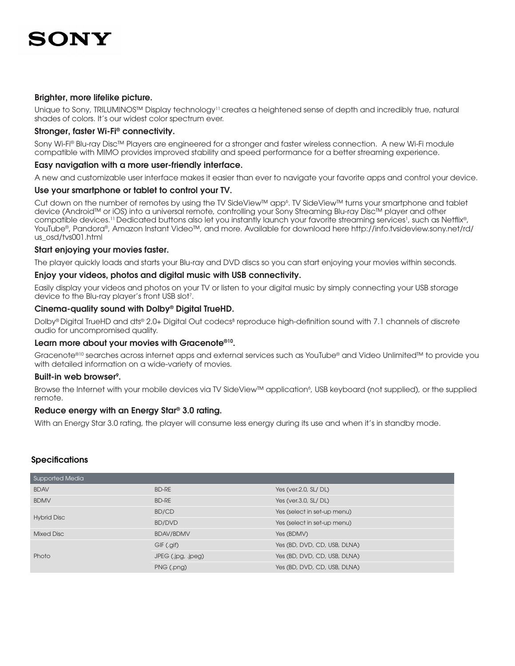#### Brighter, more lifelike picture.

Unique to Sony, TRILUMINOS™ Display technology<sup>11</sup> creates a heightened sense of depth and incredibly true, natural shades of colors. It's our widest color spectrum ever.

#### Stronger, faster Wi-Fi® connectivity.

Sony Wi-Fi® Blu-ray Disc™ Players are engineered for a stronger and faster wireless connection. A new Wi-Fi module compatible with MIMO provides improved stability and speed performance for a better streaming experience.

#### Easy navigation with a more user-friendly interface.

A new and customizable user interface makes it easier than ever to navigate your favorite apps and control your device.

#### Use your smartphone or tablet to control your TV.

Cut down on the number of remotes by using the TV SideView™ app<sup>6</sup>. TV SideView™ turns your smartphone and tablet device (Android™ or iOS) into a universal remote, controlling your Sony Streaming Blu-ray Disc™ player and other compatible devices.<sup>11</sup> Dedicated buttons also let you instantly launch your favorite streaming services<sup>1</sup>, such as Netflix®, YouTube®, Pandora®, Amazon Instant Video™, and more. Available for download here http://info.tvsideview.sony.net/rd/ us\_osd/tvs001.html

#### Start enjoying your movies faster.

The player quickly loads and starts your Blu-ray and DVD discs so you can start enjoying your movies within seconds.

#### Enjoy your videos, photos and digital music with USB connectivity.

Easily display your videos and photos on your TV or listen to your digital music by simply connecting your USB storage device to the Blu-ray player's front USB slot<sup>7</sup>.

#### Cinema-quality sound with Dolby® Digital TrueHD.

Dolby®Digital TrueHD and dts® 2.0+ Digital Out codecs® reproduce high-definition sound with 7.1 channels of discrete audio for uncompromised quality.

#### Learn more about your movies with Gracenote®10.

Gracenote®10 searches across internet apps and external services such as YouTube® and Video Unlimited™ to provide you with detailed information on a wide-variety of movies.

#### Built-in web browser<sup>9</sup>.

Browse the Internet with your mobile devices via TV SideView™ application<sup>6</sup>, USB keyboard (not supplied), or the supplied remote.

#### Reduce energy with an Energy Star® 3.0 rating.

With an Energy Star 3.0 rating, the player will consume less energy during its use and when it's in standby mode.

#### **Specifications**

| Supported Media    |                    |                              |
|--------------------|--------------------|------------------------------|
| <b>BDAV</b>        | <b>BD-RE</b>       | Yes (ver.2.0, SL/ DL)        |
| <b>BDMV</b>        | <b>BD-RE</b>       | Yes (ver.3.0, SL/DL)         |
|                    | BD/CD              | Yes (select in set-up menu)  |
| <b>Hybrid Disc</b> | BD/DVD             | Yes (select in set-up menu)  |
| Mixed Disc         | <b>BDAV/BDMV</b>   | Yes (BDMV)                   |
|                    | GIF (.gif)         | Yes (BD, DVD, CD, USB, DLNA) |
| Photo              | JPEG (.jpg, .jpeg) | Yes (BD, DVD, CD, USB, DLNA) |
|                    | PNG (.png)         | Yes (BD, DVD, CD, USB, DLNA) |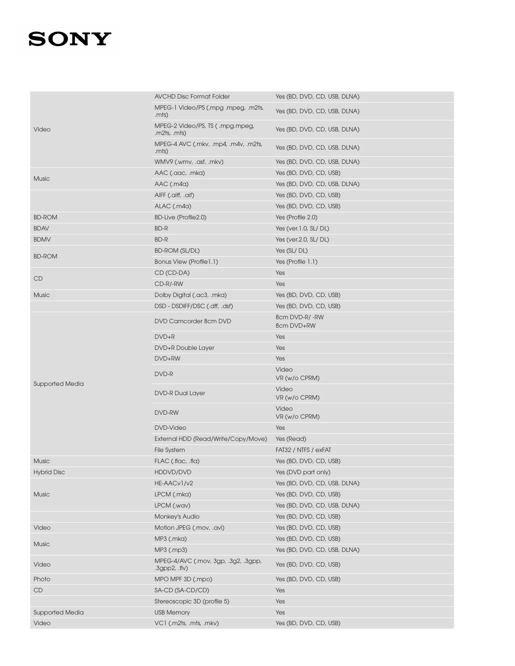|                        | <b>AVCHD Disc Format Folder</b>                      | Yes (BD, DVD, CD, USB, DLNA) |
|------------------------|------------------------------------------------------|------------------------------|
|                        | MPEG-1 Video/PS (.mpg .mpeg, .m2ts,<br>.mts)         | Yes (BD, DVD, CD, USB, DLNA) |
| Video                  | MPEG-2 Video/PS, TS ( .mpg.mpeg,<br>.m2ts, .mts)     | Yes (BD, DVD, CD, USB, DLNA) |
|                        | MPEG-4 AVC (.mkv, .mp4, .m4v, .m2ts,<br>.mts)        | Yes (BD, DVD, CD, USB, DLNA) |
|                        | WMV9 (.wmv, .asf, .mkv)                              | Yes (BD, DVD, CD, USB, DLNA) |
| <b>Music</b>           | AAC (.aac, .mka)                                     | Yes (BD, DVD, CD, USB)       |
|                        | $AAC$ (.m4a)                                         | Yes (BD, DVD, CD, USB, DLNA) |
|                        | AIFF (.aiff, .aif)                                   | Yes (BD, DVD, CD, USB)       |
|                        | ALAC (.m4a)                                          | Yes (BD, DVD, CD, USB)       |
| <b>BD-ROM</b>          | BD-Live (Profile2.0)                                 | Yes (Profile 2.0)            |
| <b>BDAV</b>            | <b>BD-R</b>                                          | Yes (ver.1.0, SL/DL)         |
| <b>BDMV</b>            | <b>BD-R</b>                                          | Yes (ver.2.0, SL/DL)         |
| <b>BD-ROM</b>          | <b>BD-ROM (SL/DL)</b>                                | Yes (SL/DL)                  |
|                        | Bonus View (Profile1.1)                              | Yes (Profile 1.1)            |
| CD                     | CD (CD-DA)                                           | Yes                          |
|                        | CD-R/-RW                                             | Yes                          |
| Music                  | Dolby Digital (.ac3, .mka)                           | Yes (BD, DVD, CD, USB)       |
|                        | DSD - DSDIFF/DSC (.dff, .dsf)                        | Yes (BD, DVD, CD, USB)       |
|                        | DVD Camcorder 8cm DVD                                | 8cm DVD-R/-RW<br>8cm DVD+RW  |
|                        | $DVD+R$                                              | Yes                          |
|                        | DVD+R Double Layer                                   | Yes                          |
|                        | DVD+RW                                               | Yes                          |
|                        | DVD-R                                                | Video<br>VR (w/o CPRM)       |
| <b>Supported Media</b> | <b>DVD-R Dual Layer</b>                              | Video<br>VR (w/o CPRM)       |
|                        | DVD-RW                                               | Video<br>VR (w/o CPRM)       |
|                        | <b>DVD-Video</b>                                     | Yes                          |
|                        | External HDD (Read/Write/Copy/Move)                  | Yes (Read)                   |
|                        | File System                                          | FAT32 / NTFS / exFAT         |
| <b>Music</b>           | FLAC (.flac, .fla)                                   | Yes (BD, DVD, CD, USB)       |
| <b>Hybrid Disc</b>     | HDDVD/DVD                                            | Yes (DVD part only)          |
|                        | HE-AACv1/v2                                          | Yes (BD, DVD, CD, USB, DLNA) |
| <b>Music</b>           | LPCM (.mka)                                          | Yes (BD, DVD, CD, USB)       |
|                        | LPCM (.wav)                                          | Yes (BD, DVD, CD, USB, DLNA) |
|                        | Monkey's Audio                                       | Yes (BD, DVD, CD, USB)       |
| Video                  |                                                      |                              |
|                        | Motion JPEG (.mov, .avi)                             | Yes (BD, DVD, CD, USB)       |
|                        | MP3 (.mka)                                           | Yes (BD, DVD, CD, USB)       |
| <b>Music</b>           | MP3 (.mp3)                                           | Yes (BD, DVD, CD, USB, DLNA) |
| Video                  | MPEG-4/AVC (.mov, 3gp, .3g2, .3gpp,<br>.3gpp2, .flv) | Yes (BD, DVD, CD, USB)       |
| Photo                  | MPO MPF 3D (.mpo)                                    | Yes (BD, DVD, CD, USB)       |
| $\mathsf{CD}$          | SA-CD (SA-CD/CD)                                     | Yes                          |
|                        | Stereoscopic 3D (profile 5)                          | Yes                          |
| <b>Supported Media</b> | <b>USB Memory</b><br>VC1 (.m2ts, .mts, .mkv)         | Yes                          |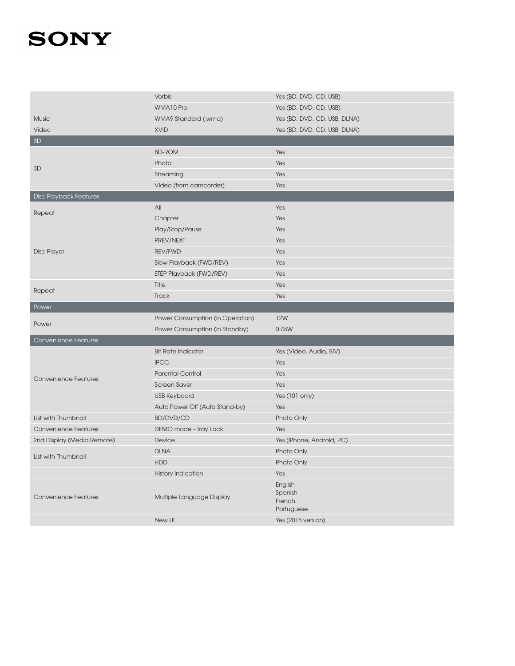|                               | Vorbis                           | Yes (BD, DVD, CD, USB)           |
|-------------------------------|----------------------------------|----------------------------------|
|                               | WMA10 Pro                        | Yes (BD, DVD, CD, USB)           |
| Music                         | WMA9 Standard (.wma)             | Yes (BD, DVD, CD, USB, DLNA)     |
| Video                         | <b>XVID</b>                      | Yes (BD, DVD, CD, USB, DLNA)     |
| 3D                            |                                  |                                  |
|                               | <b>BD-ROM</b>                    | Yes                              |
| 3D                            | Photo                            | Yes                              |
|                               | Streaming                        | Yes                              |
|                               | Video (from camcorder)           | Yes                              |
| <b>Disc Playback Features</b> |                                  |                                  |
| Repeat                        | All                              | Yes                              |
|                               | Chapter                          | Yes                              |
|                               | Play/Stop/Pause                  | Yes                              |
|                               | PREV/NEXT                        | Yes                              |
| <b>Disc Player</b>            | <b>REV/FWD</b>                   | Yes                              |
|                               | Slow Playback (FWD/REV)          | Yes                              |
|                               | STEP Playback (FWD/REV)          | Yes                              |
| Repeat                        | Title                            | Yes                              |
|                               | <b>Track</b>                     | Yes                              |
| Power                         |                                  |                                  |
|                               |                                  |                                  |
|                               | Power Consumption (in Operation) | <b>12W</b>                       |
| Power                         | Power Consumption (in Standby)   | 0.45W                            |
| <b>Convenience Features</b>   |                                  |                                  |
|                               | <b>Bit Rate Indicator</b>        | Yes (Video, Audio, BIV)          |
|                               | <b>IPCC</b>                      | Yes                              |
|                               | <b>Parental Control</b>          | Yes                              |
| <b>Convenience Features</b>   | <b>Screen Saver</b>              | Yes                              |
|                               | <b>USB Keyboard</b>              | Yes (101 only)                   |
|                               | Auto Power Off (Auto Stand-by)   | Yes                              |
| List with Thumbnail           | <b>BD/DVD/CD</b>                 | Photo Only                       |
| <b>Convenience Features</b>   | DEMO mode - Tray Lock            | Yes                              |
| 2nd Display (Media Remote)    | Device                           | Yes (iPhone, Android, PC)        |
|                               | <b>DLNA</b>                      | Photo Only                       |
| List with Thumbnail           | <b>HDD</b>                       | Photo Only                       |
|                               | <b>History Indication</b>        | Yes                              |
|                               |                                  | English<br>Spanish               |
| <b>Convenience Features</b>   | Multiple Language Display        | French                           |
|                               | New UI                           | Portuguese<br>Yes (2015 version) |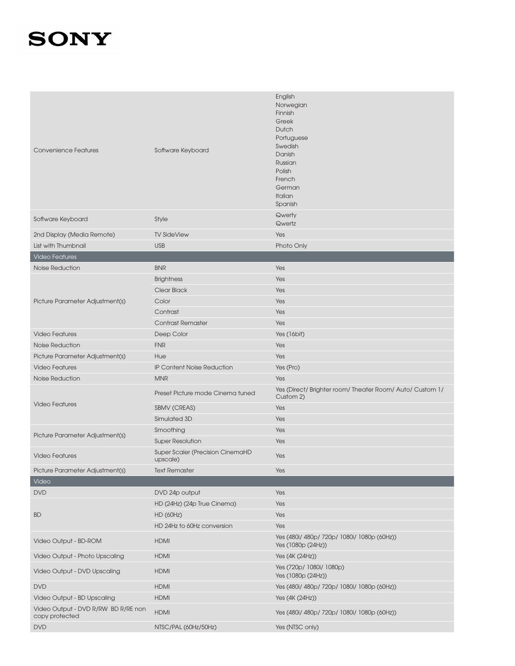| <b>Convenience Features</b>                           | Software Keyboard                            | English<br>Norwegian<br>Finnish<br>Greek<br>Dutch<br>Portuguese<br>Swedish<br>Danish<br>Russian<br>Polish<br>French<br>German<br>Italian<br>Spanish |
|-------------------------------------------------------|----------------------------------------------|-----------------------------------------------------------------------------------------------------------------------------------------------------|
| Software Keyboard                                     | Style                                        | Qwerty<br>Qwertz                                                                                                                                    |
| 2nd Display (Media Remote)                            | <b>TV SideView</b>                           | Yes                                                                                                                                                 |
| List with Thumbnail                                   | <b>USB</b>                                   | Photo Only                                                                                                                                          |
| <b>Video Features</b>                                 |                                              |                                                                                                                                                     |
| Noise Reduction                                       | <b>BNR</b>                                   | Yes                                                                                                                                                 |
|                                                       | <b>Brightness</b>                            | Yes                                                                                                                                                 |
|                                                       | Clear Black                                  | Yes                                                                                                                                                 |
| Picture Parameter Adjustment(s)                       | Color                                        | Yes                                                                                                                                                 |
|                                                       | Contrast                                     | Yes                                                                                                                                                 |
|                                                       | Contrast Remaster                            | Yes                                                                                                                                                 |
| <b>Video Features</b>                                 | Deep Color                                   | Yes (16bit)                                                                                                                                         |
| <b>Noise Reduction</b>                                | <b>FNR</b>                                   | Yes                                                                                                                                                 |
| Picture Parameter Adjustment(s)                       | Hue                                          | Yes                                                                                                                                                 |
| <b>Video Features</b>                                 | <b>IP Content Noise Reduction</b>            | Yes (Pro)                                                                                                                                           |
| <b>Noise Reduction</b>                                | <b>MNR</b>                                   | Yes                                                                                                                                                 |
|                                                       | Preset Picture mode Cinema tuned             | Yes (Direct/ Brighter room/ Theater Room/ Auto/ Custom 1/<br>Custom 2)                                                                              |
| <b>Video Features</b>                                 | <b>SBMV (CREAS)</b>                          | Yes                                                                                                                                                 |
|                                                       | Simulated 3D                                 | Yes                                                                                                                                                 |
|                                                       | Smoothing                                    | Yes                                                                                                                                                 |
| Picture Parameter Adjustment(s)                       | <b>Super Resolution</b>                      | Yes                                                                                                                                                 |
| <b>Video Features</b>                                 | Super Scaler (Precision CinemaHD<br>upscale) | Yes                                                                                                                                                 |
| Picture Parameter Adjustment(s)                       | <b>Text Remaster</b>                         | Yes                                                                                                                                                 |
| Video                                                 |                                              |                                                                                                                                                     |
| <b>DVD</b>                                            | DVD 24p output                               | Yes                                                                                                                                                 |
|                                                       | HD (24Hz) (24p True Cinema)                  | Yes                                                                                                                                                 |
| <b>BD</b>                                             | <b>HD (60Hz)</b>                             | Yes                                                                                                                                                 |
|                                                       | HD 24Hz to 60Hz conversion                   | Yes                                                                                                                                                 |
| Video Output - BD-ROM                                 | <b>HDMI</b>                                  | Yes (480i/ 480p/ 720p/ 1080i/ 1080p (60Hz))<br>Yes (1080p (24Hz))                                                                                   |
| Video Output - Photo Upscaling                        | <b>HDMI</b>                                  | Yes (4K (24Hz))                                                                                                                                     |
| Video Output - DVD Upscaling                          | <b>HDMI</b>                                  | Yes (720p/ 1080i/ 1080p)<br>Yes (1080p (24Hz))                                                                                                      |
| <b>DVD</b>                                            | <b>HDMI</b>                                  | Yes (480i/ 480p/ 720p/ 1080i/ 1080p (60Hz))                                                                                                         |
| Video Output - BD Upscaling                           | <b>HDMI</b>                                  | Yes (4K (24Hz))                                                                                                                                     |
| Video Output - DVD R/RW BD R/RE non<br>copy protected | <b>HDMI</b>                                  | Yes (480i/ 480p/ 720p/ 1080i/ 1080p (60Hz))                                                                                                         |
| <b>DVD</b>                                            | NTSC/PAL (60Hz/50Hz)                         | Yes (NTSC only)                                                                                                                                     |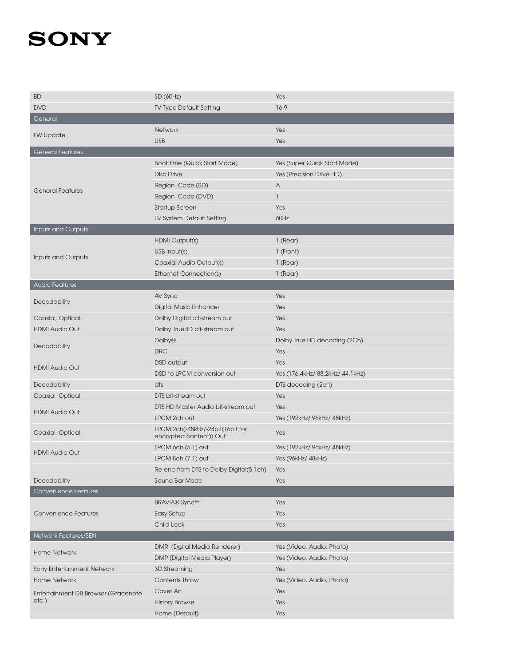| <b>BD</b>                           | SD (60Hz)                                                   | Yes                              |
|-------------------------------------|-------------------------------------------------------------|----------------------------------|
| <b>DVD</b>                          | <b>TV Type Default Setting</b>                              | 16:9                             |
| General                             |                                                             |                                  |
|                                     | Network                                                     | Yes                              |
| <b>FW Update</b>                    | <b>USB</b>                                                  | Yes                              |
| <b>General Features</b>             |                                                             |                                  |
|                                     | Boot time (Quick Start Mode)                                | Yes (Super Quick Start Mode)     |
|                                     | <b>Disc Drive</b>                                           | Yes (Precision Drive HD)         |
|                                     | Region Code (BD)                                            | A                                |
| <b>General Features</b>             | Region Code (DVD)                                           | $\overline{1}$                   |
|                                     | <b>Startup Screen</b>                                       | Yes                              |
|                                     | <b>TV System Default Setting</b>                            | 60Hz                             |
| Inputs and Outputs                  |                                                             |                                  |
|                                     | HDMI Output(s)                                              | 1 (Rear)                         |
|                                     | USB Input(s)                                                | 1 (Front)                        |
| Inputs and Outputs                  | Coaxial Audio Output(s)                                     | 1 (Rear)                         |
|                                     | <b>Ethernet Connection(s)</b>                               | 1 (Rear)                         |
| <b>Audio Features</b>               |                                                             |                                  |
|                                     | AV Sync                                                     | Yes                              |
| Decodability                        | <b>Digital Music Enhancer</b>                               | Yes                              |
| Coaxial, Optical                    | Dolby Digital bit-stream out                                | Yes                              |
| <b>HDMI Audio Out</b>               | Dolby TrueHD bit-stream out                                 | Yes                              |
|                                     | Dolby <sup>®</sup>                                          | Dolby True HD decoding (2Ch)     |
| Decodability                        | <b>DRC</b>                                                  | Yes                              |
|                                     | DSD output                                                  | Yes                              |
| <b>HDMI Audio Out</b>               | DSD to LPCM conversion out                                  | Yes (176.4kHz/ 88.2kHz/ 44.1kHz) |
| Decodability                        | dts                                                         | DTS decoding (2ch)               |
| Coaxial, Optical                    | DTS bit-stream out                                          | Yes                              |
|                                     | DTS HD Master Audio bit-stream out                          | Yes                              |
| <b>HDMI Audio Out</b>               | LPCM 2ch out                                                | Yes (192kHz/ 96kHz/ 48kHz)       |
| Coaxial, Optical                    | LPCM 2ch(-48kHz/-24bit(16bit for<br>encrypted content)) Out | Yes                              |
|                                     | LPCM 6ch (5.1) out                                          | Yes (192kHz/ 96kHz/ 48kHz)       |
| <b>HDMI Audio Out</b>               | LPCM 8ch $(7.1)$ out                                        | Yes (96kHz/ 48kHz)               |
|                                     | Re-enc from DTS to Dolby Digital(5.1ch)                     | Yes                              |
| Decodability                        | Sound Bar Mode                                              | Yes                              |
| <b>Convenience Features</b>         |                                                             |                                  |
|                                     | <b>BRAVIA®</b> Sync™                                        | Yes                              |
| <b>Convenience Features</b>         | <b>Easy Setup</b>                                           | Yes                              |
|                                     | Child Lock                                                  | Yes                              |
| Network Features/SEN                |                                                             |                                  |
|                                     | <b>DMR</b> (Dgital Media Renderer)                          | Yes (Video, Audio, Photo)        |
| <b>Home Network</b>                 | <b>DMP (Digital Media Player)</b>                           | Yes (Video, Audio, Photo)        |
| Sony Entertainment Network          | 3D Streaming                                                | Yes                              |
| <b>Home Network</b>                 | <b>Contents Throw</b>                                       | Yes (Video, Audio, Photo)        |
| Entertainment DB Browser (Gracenote | Cover Art                                                   | Yes                              |
| etc.)                               | <b>History Browse</b>                                       | Yes                              |
|                                     | Home (Default)                                              | Yes                              |